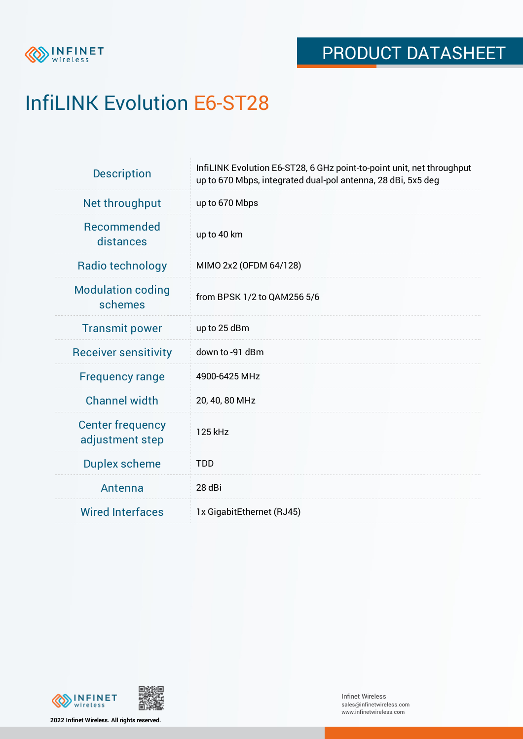

## InfiLINK Evolution E6-ST28

| <b>Description</b>                         | InfiLINK Evolution E6-ST28, 6 GHz point-to-point unit, net throughput<br>up to 670 Mbps, integrated dual-pol antenna, 28 dBi, 5x5 deg |  |  |  |
|--------------------------------------------|---------------------------------------------------------------------------------------------------------------------------------------|--|--|--|
| Net throughput                             | up to 670 Mbps                                                                                                                        |  |  |  |
| Recommended<br>distances                   | up to 40 km                                                                                                                           |  |  |  |
| Radio technology                           | MIMO 2x2 (OFDM 64/128)                                                                                                                |  |  |  |
| <b>Modulation coding</b><br>schemes        | from BPSK 1/2 to QAM256 5/6                                                                                                           |  |  |  |
| <b>Transmit power</b>                      | up to 25 dBm                                                                                                                          |  |  |  |
| <b>Receiver sensitivity</b>                | down to -91 dBm                                                                                                                       |  |  |  |
| <b>Frequency range</b>                     | 4900-6425 MHz                                                                                                                         |  |  |  |
| <b>Channel width</b>                       | 20, 40, 80 MHz                                                                                                                        |  |  |  |
| <b>Center frequency</b><br>adjustment step | 125 kHz                                                                                                                               |  |  |  |
| <b>Duplex scheme</b>                       | <b>TDD</b>                                                                                                                            |  |  |  |
| Antenna                                    | 28 dBi                                                                                                                                |  |  |  |
| <b>Wired Interfaces</b>                    | 1x GigabitEthernet (RJ45)                                                                                                             |  |  |  |



**2022 Infinet Wireless. All rights reserved.**

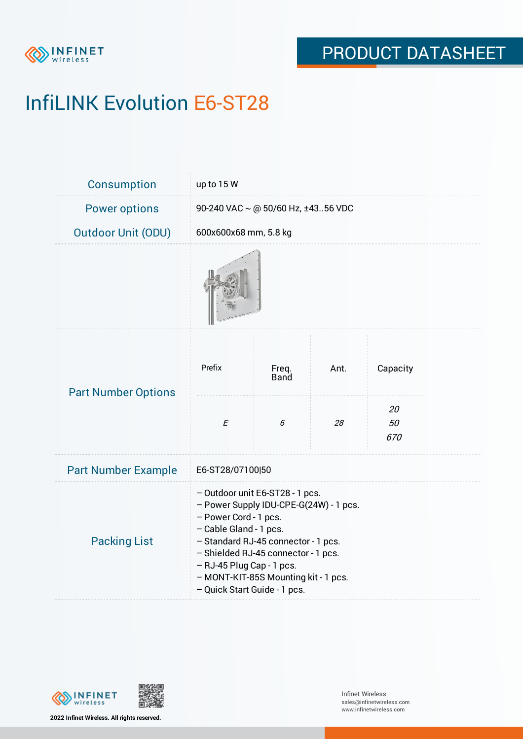

# InfiLINK Evolution E6-ST28

| Consumption                | up to 15 W                                                                                                                                                                                                                                                                                                      |                      |      |                 |  |  |
|----------------------------|-----------------------------------------------------------------------------------------------------------------------------------------------------------------------------------------------------------------------------------------------------------------------------------------------------------------|----------------------|------|-----------------|--|--|
| <b>Power options</b>       | 90-240 VAC ~ @ 50/60 Hz, ±4356 VDC                                                                                                                                                                                                                                                                              |                      |      |                 |  |  |
| <b>Outdoor Unit (ODU)</b>  | 600x600x68 mm, 5.8 kg                                                                                                                                                                                                                                                                                           |                      |      |                 |  |  |
|                            |                                                                                                                                                                                                                                                                                                                 |                      |      |                 |  |  |
| <b>Part Number Options</b> | Prefix                                                                                                                                                                                                                                                                                                          | Freq.<br><b>Band</b> | Ant. | Capacity        |  |  |
|                            | $\cal E$                                                                                                                                                                                                                                                                                                        | 6                    | 28   | 20<br>50<br>670 |  |  |
| <b>Part Number Example</b> | E6-ST28/07100 50                                                                                                                                                                                                                                                                                                |                      |      |                 |  |  |
| <b>Packing List</b>        | - Outdoor unit E6-ST28 - 1 pcs.<br>- Power Supply IDU-CPE-G(24W) - 1 pcs.<br>- Power Cord - 1 pcs.<br>- Cable Gland - 1 pcs.<br>- Standard RJ-45 connector - 1 pcs.<br>- Shielded RJ-45 connector - 1 pcs.<br>- RJ-45 Plug Cap - 1 pcs.<br>- MONT-KIT-85S Mounting kit - 1 pcs.<br>- Quick Start Guide - 1 pcs. |                      |      |                 |  |  |



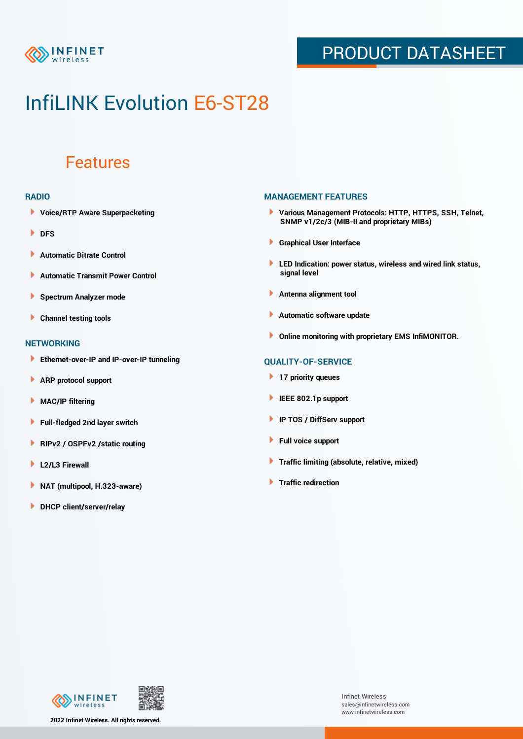

## PRODUCT DATASHEET

## InfiLINK Evolution E6-ST28

### Features

#### **RADIO**

- **Voice/RTP Aware Superpacketing**
- **DFS**
- **Automatic Bitrate Control** Þ
- Þ **Automatic Transmit Power Control**
- Þ **Spectrum Analyzer mode**
- ٠ **Channel testing tools**

#### **NETWORKING**

- **Ethernet-over-IP and IP-over-IP tunneling**
- **ARP protocol support**
- **MAC/IP filtering**
- **Full-fledged 2nd layer switch**
- **RIPv2 / OSPFv2 /static routing** Þ
- Þ **L2/L3 Firewall**
- Þ **NAT (multipool, H.323-aware)**
- **DHCP client/server/relay**

### **MANAGEMENT FEATURES**

- **Various Management Protocols: HTTP, HTTPS, SSH, Telnet, SNMP v1/2c/3 (MIB-II and proprietary MIBs)**
- **Graphical User Interface**
- **LED Indication: power status, wireless and wired link status, signal level**
- **Antenna alignment tool**
- ٠ **Automatic software update**
- **Online monitoring with proprietary EMS InfiMONITOR.**

### **QUALITY-OF-SERVICE**

- **17 priority queues**
- **IEEE 802.1p support**
- **IP TOS / DiffServ support**
- ٠ **Full voice support**
- **Traffic limiting (absolute, relative, mixed)**
- **Traffic redirection**

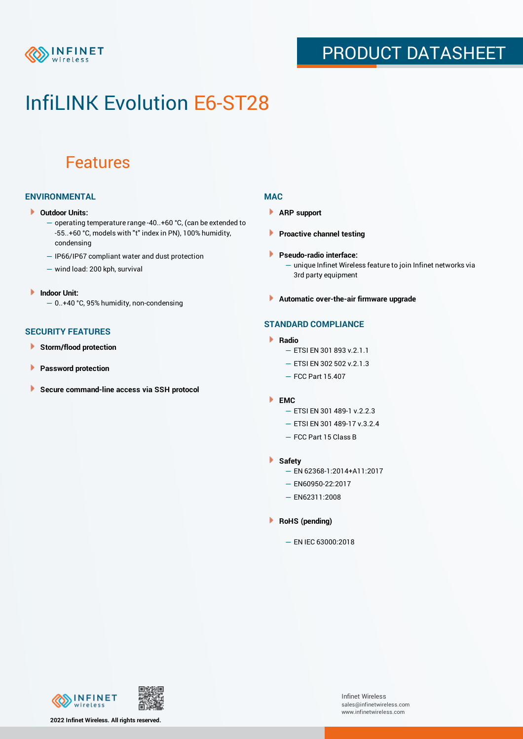

## PRODUCT DATASHEET

## InfiLINK Evolution E6-ST28

### Features

### **ENVIRONMENTAL**

- **Outdoor Units:**
	- operating temperature range -40..+60 °C, (can be extended to -55..+60 °С, models with "t" index in PN), 100% humidity, condensing
	- IP66/IP67 compliant water and dust protection
	- wind load: 200 kph, survival
- **Indoor Unit:** — 0..+40 °C, 95% humidity, non-condensing
- **SECURITY FEATURES**
- Þ **Storm/flood protection**
- ۱ **Password protection**
- × **Secure command-line access via SSH protocol**

### **MAC**

- **ARP support**
- **Proactive channel testing**
- **Pseudo-radio interface:**
	- unique Infinet Wireless feature to join Infinet networks via 3rd party equipment
- **Automatic over-the-air firmware upgrade**

### **STANDARD COMPLIANCE**

- **Radio**
	- ETSI EN 301 893 v.2.1.1
	- $-$  FTSI FN 302 502 v.2.1.3
	- FCC Part 15.407
- **EMC**
	- ETSI EN 301 489-1 v.2.2.3
	- ETSI EN 301 489-17 v.3.2.4
	- FCC Part 15 Class B
- **Safety**
	- EN 62368-1:2014+A11:2017
	- EN60950-22:2017
	- EN62311:2008
- **RoHS (pending)**
	- EN IEC 63000:2018